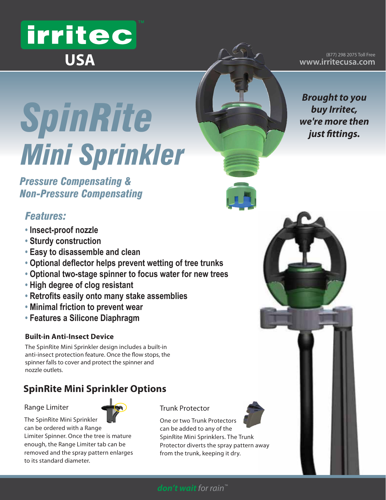# irritec **USA**

(877) 298 2075 Toll Free **www.irritecusa.com**

*Brought to you buy Irritec, we're more then* 

*just fittings.*

*SpinRite Mini Sprinkler*

*Pressure Compensating & Non-Pressure Compensating*

# *Features:*

- **Insect-proof nozzle**
- **Sturdy construction**
- **Easy to disassemble and clean**
- **Optional deflector helps prevent wetting of tree trunks**
- **Optional two-stage spinner to focus water for new trees**
- **High degree of clog resistant**
- **Retrofits easily onto many stake assemblies**
- **Minimal friction to prevent wear**
- **Features a Silicone Diaphragm**

#### **Built-in Anti-Insect Device**

The SpinRite Mini Sprinkler design includes a built-in anti-insect protection feature. Once the flow stops, the spinner falls to cover and protect the spinner and nozzle outlets.

# **SpinRite Mini Sprinkler Options**

#### Range Limiter

The SpinRite Mini Sprinkler can be ordered with a Range

to its standard diameter.

Limiter Spinner. Once the tree is mature enough, the Range Limiter tab can be removed and the spray pattern enlarges



#### Trunk Protector

One or two Trunk Protectors can be added to any of the SpinRite Mini Sprinklers. The Trunk Protector diverts the spray pattern away from the trunk, keeping it dry.



#### *don't wait for rain™*